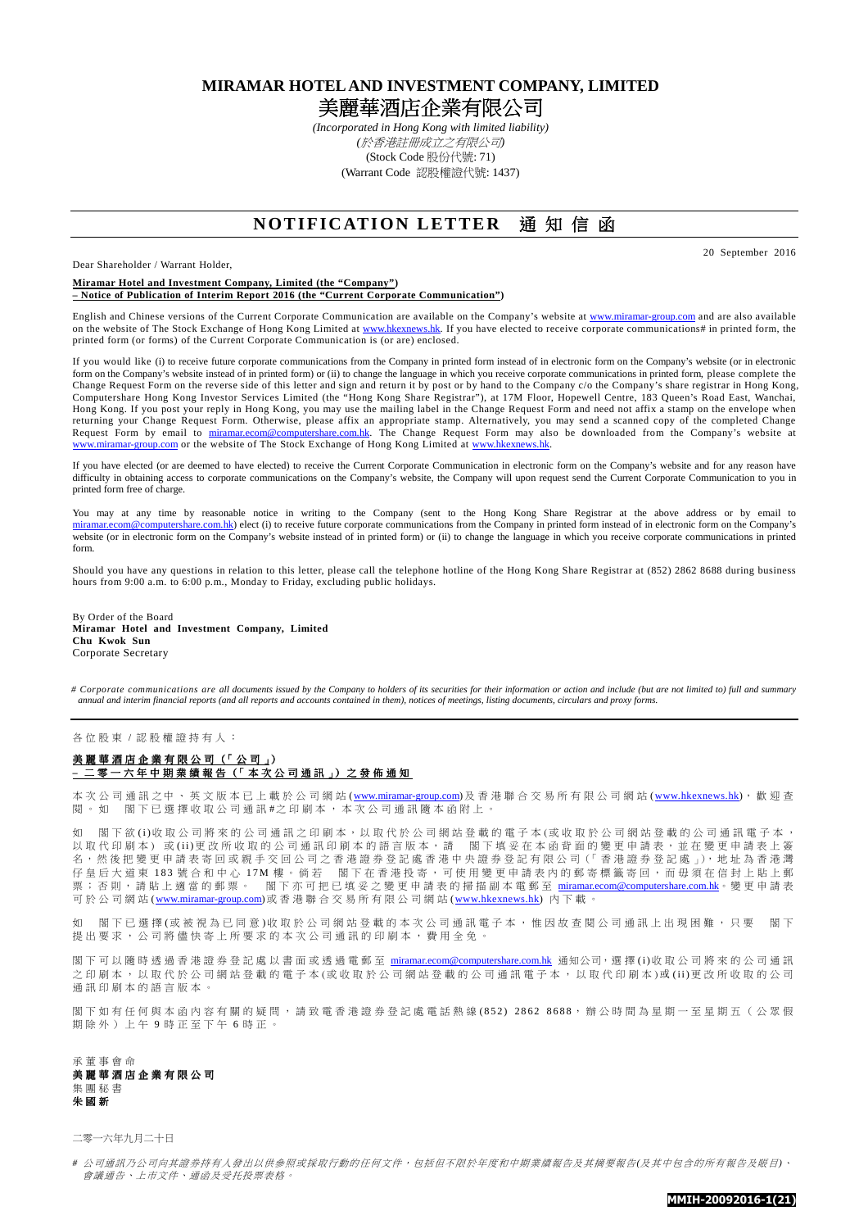**MIRAMAR HOTEL AND INVESTMENT COMPANY, LIMITED**  美麗華酒店企業有限公司

> *(Incorporated in Hong Kong with limited liability) (*於香港註冊成立之有限公司*)*  (Stock Code 股份代號: 71) (Warrant Code 認股權證代號: 1437)

## **NOTIFICATION LETTER** 通知信函

Dear Shareholder / Warrant Holder,

20 September 2016

**Miramar Hotel and Investment Company, Limited (the "Company") – Notice of Publication of Interim Report 2016 (the "Current Corporate Communication")** 

English and Chinese versions of the Current Corporate Communication are available on the Company's website at www.miramar-group.com and are also available on the website of The Stock Exchange of Hong Kong Limited at www.hkexnews.hk. If you have elected to receive corporate communications# in printed form, the printed form (or forms) of the Current Corporate Communication is (or are) enclosed.

If you would like (i) to receive future corporate communications from the Company in printed form instead of in electronic form on the Company's website (or in electronic form on the Company's website instead of in printed form) or (ii) to change the language in which you receive corporate communications in printed form, please complete the Change Request Form on the reverse side of this letter and sign and return it by post or by hand to the Company c/o the Company's share registrar in Hong Kong, Computershare Hong Kong Investor Services Limited (the "Hong Kong Share Registrar"), at 17M Floor, Hopewell Centre, 183 Queen's Road East, Wanchai, Hong Kong. If you post your reply in Hong Kong, you may use the mailing label in the Change Request Form and need not affix a stamp on the envelope when returning your Change Request Form. Otherwise, please affix an appropriate stamp. Alternatively, you may send a scanned copy of the completed Change Request Form by email to miramar.ecom@computershare.com.hk. The Change Request Form may also be downloaded from the Company's website at www.miramar-group.com or the website of The Stock Exchange of Hong Kong Limited at www.hkexnews.hk.

If you have elected (or are deemed to have elected) to receive the Current Corporate Communication in electronic form on the Company's website and for any reason have difficulty in obtaining access to corporate communications on the Company's website, the Company will upon request send the Current Corporate Communication to you in printed form free of charge.

You may at any time by reasonable notice in writing to the Company (sent to the Hong Kong Share Registrar at the above address or by email to miramar.ecom@computershare.com.hk) elect (i) to receive future corporate communications from the Company in printed form instead of in electronic form on the Company's website (or in electronic form on the Company's website instead of in printed form) or (ii) to change the language in which you receive corporate communications in printed form.

Should you have any questions in relation to this letter, please call the telephone hotline of the Hong Kong Share Registrar at (852) 2862 8688 during business hours from 9:00 a.m. to 6:00 p.m., Monday to Friday, excluding public holidays.

By Order of the Board **Miramar Hotel and Investment Company, Limited Chu Kwok Sun**  Corporate Secretary

*# Corporate communications are all documents issued by the Company to holders of its securities for their information or action and include (but are not limited to) full and summary annual and interim financial reports (and all reports and accounts contained in them), notices of meetings, listing documents, circulars and proxy forms.* 

各位股東 / 認股權證持有人:

## 美麗華酒店企業有限公司(「公司」) 二 零 一 六 年 中 期 業 績 報 告 (「 本 次 公 司 通 訊 」) 之 發 佈 通 知

本 次 公 司 通 訊 之 中 、 英 文 版 本 已 上 載 於 公 司 網 站 (www.miramar-group.com) 及 香 港 職 合 交 易 所 有 限 公 司 網 站 (www.hkexnews.hk), 戦 知 杳 関。如 閣下已選擇收取公司通訊#之印刷本,本次公司通訊隨本函附上。

如 閣下欲 (i)收 取 公 司將 來 的 公 司 通 訊 之 印 刷 本 , 以 取 代 於 公 司 網 站 登 載 的 電 子 本 (或 收 取 於 公 司 網 站 登 載 的 公 司 通 訊 電 子 本 , 以 取 代 印 刷 本 ) 或 (ii)更 改 所 收 取 的 公 司 通 訊 印 刷 本 的 語 言 版 本 , 請 閣 下 填 妥 在 本 函 背 面 的 變 更 申 請 表 , 並 在 變 更 申 請 表 上 簽 名,然 後 把 變 更 申 請 表 寄 回 或 親 手 交 回 公 司 之 香 港 證 券 登 記 處 香 港 中 央 證 券 登 記 有 限 公 司(「 香 港 證 券 登 記 處 」), 地 址 為 香 港 灣 仔 皇 后 大 道 東 1 8 3 號 合 和 中 心 1 7 M 樓 。 倘 若 閣 下 在 香 港 投 寄 , 可 使 用 變 更 申 請 表 內 的 郵 寄 標 籤 寄 回 , 而 毋 須 在 信 封 上 貼 上 郵 票;否則,請貼上 適當的郵票。 閣下亦可把已填妥之變更申請表的掃描副本電郵至 miramar.ecom@computershare.com.hk。 變更申請表 可於公司網站 (www.miramar-group.com)或香港聯合交易所有限公司網站 (www.hkexnews.hk) 內下載。

如 閣下已選擇(或被視為已同意)收取於公司網站登載的本次公司通訊電子本,惟因故查閱公司通訊上出現困難,只要 閣下 提出要求, 公司將儘快寄上所要求的本次公司通訊的印刷本, 費用全免。

閣下可以隨時透過香港證券登記處以書面或透過電郵至 miramar.ecom@computershare.com.hk 通知公司, 選擇(i)收取公司將來的公司通訊 之 印 刷 本 , 以 取 代 於 公 司 網 站 登 載 的 電 子 本 ( 或 收 取 於 公 司 網 站 登 載 的 公 司 通 訊 電 子 本 , 以 取 代 印 刷 本 )或 ( ii )更 改 所 收 取 的 公 司 通 訊 印 刷 本 的 語 言 版 本 。

閣 下 如 有 任 何 與 本 函 內 容 有 關 的 疑 問 , 請 致 電 香 港 證 券 登 記 處 電 話 熱 線 ( 8 5 2 ) 2 8 6 2 8 6 8 8, 辦 公 時 間 為 星 期 一 至 星 期 五 ( 公 眾 假 期除外)上午9時正至下午6時正。

## 承 董 事 會 命 美麗華酒店企業有限公司 集 團 秘 書 朱 國 新

二零一六年九月二十日

*#* 公 司通 訊 乃 公 司 向其 證 券 持 有 人發 出 以 供參 照 或 採 取 行動 的 任 何 文 件, 包 括 但不 限 於 年 度 和中 期 業 績 報 告及 其 摘 要報告*(*及 其 中 包 含 的所 有 報 告 及 賬 目*)*、 會 議 通告 、 上 市 文 件、 通 函 及 受 托投 票 表 格。